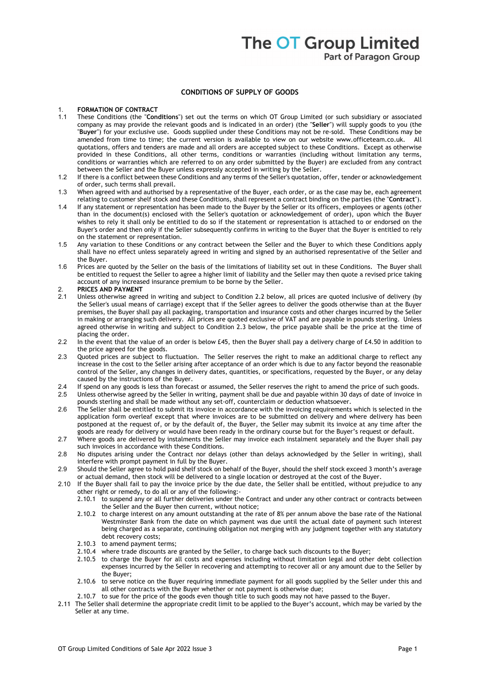## **CONDITIONS OF SUPPLY OF GOODS**

### 1. **FORMATION OF CONTRACT**

- 1.1 These Conditions (the "**Conditions**") set out the terms on which OT Group Limited (or such subsidiary or associated company as may provide the relevant goods and is indicated in an order) (the "**Seller**") will supply goods to you (the "**Buyer**") for your exclusive use. Goods supplied under these Conditions may not be re-sold. These Conditions may be amended from time to time; the current version is available to view on our website www.officeteam.co.uk. All quotations, offers and tenders are made and all orders are accepted subject to these Conditions. Except as otherwise provided in these Conditions, all other terms, conditions or warranties (including without limitation any terms, conditions or warranties which are referred to on any order submitted by the Buyer) are excluded from any contract between the Seller and the Buyer unless expressly accepted in writing by the Seller.
- 1.2 If there is a conflict between these Conditions and any terms of the Seller's quotation, offer, tender or acknowledgement of order, such terms shall prevail.
- 1.3 When agreed with and authorised by a representative of the Buyer, each order, or as the case may be, each agreement relating to customer shelf stock and these Conditions, shall represent a contract binding on the parties (the "**Contract**").
- 1.4 If any statement or representation has been made to the Buyer by the Seller or its officers, employees or agents (other than in the document(s) enclosed with the Seller's quotation or acknowledgement of order), upon which the Buyer wishes to rely it shall only be entitled to do so if the statement or representation is attached to or endorsed on the Buyer's order and then only if the Seller subsequently confirms in writing to the Buyer that the Buyer is entitled to rely on the statement or representation.
- 1.5 Any variation to these Conditions or any contract between the Seller and the Buyer to which these Conditions apply shall have no effect unless separately agreed in writing and signed by an authorised representative of the Seller and the Buyer.
- 1.6 Prices are quoted by the Seller on the basis of the limitations of liability set out in these Conditions. The Buyer shall be entitled to request the Seller to agree a higher limit of liability and the Seller may then quote a revised price taking account of any increased insurance premium to be borne by the Seller.
- 2. **PRICES AND PAYMENT**
- 2.1 Unless otherwise agreed in writing and subject to Condition 2.2 below, all prices are quoted inclusive of delivery (by the Seller's usual means of carriage) except that if the Seller agrees to deliver the goods otherwise than at the Buyer premises, the Buyer shall pay all packaging, transportation and insurance costs and other charges incurred by the Seller in making or arranging such delivery. All prices are quoted exclusive of VAT and are payable in pounds sterling. Unless agreed otherwise in writing and subject to Condition 2.3 below, the price payable shall be the price at the time of placing the order.
- 2.2 In the event that the value of an order is below  $£45$ , then the Buyer shall pay a delivery charge of  $£4.50$  in addition to the price agreed for the goods.
- 2.3 Quoted prices are subject to fluctuation. The Seller reserves the right to make an additional charge to reflect any increase in the cost to the Seller arising after acceptance of an order which is due to any factor beyond the reasonable control of the Seller, any changes in delivery dates, quantities, or specifications, requested by the Buyer, or any delay caused by the instructions of the Buyer.
- 2.4 If spend on any goods is less than forecast or assumed, the Seller reserves the right to amend the price of such goods.<br>2.5 Unless otherwise agreed by the Seller in writing payment shall be due and payable within 30 da
- 2.5 Unless otherwise agreed by the Seller in writing, payment shall be due and payable within 30 days of date of invoice in pounds sterling and shall be made without any set-off, counterclaim or deduction whatsoever.
- 2.6 The Seller shall be entitled to submit its invoice in accordance with the invoicing requirements which is selected in the application form overleaf except that where invoices are to be submitted on delivery and where delivery has been postponed at the request of, or by the default of, the Buyer, the Seller may submit its invoice at any time after the goods are ready for delivery or would have been ready in the ordinary course but for the Buyer's request or default.
- 2.7 Where goods are delivered by instalments the Seller may invoice each instalment separately and the Buyer shall pay such invoices in accordance with these Conditions.
- 2.8 No disputes arising under the Contract nor delays (other than delays acknowledged by the Seller in writing), shall interfere with prompt payment in full by the Buyer.
- 2.9 Should the Seller agree to hold paid shelf stock on behalf of the Buyer, should the shelf stock exceed 3 month's average or actual demand, then stock will be delivered to a single location or destroyed at the cost of the Buyer.
- 2.10 If the Buyer shall fail to pay the invoice price by the due date, the Seller shall be entitled, without prejudice to any other right or remedy, to do all or any of the following:-
	- 2.10.1 to suspend any or all further deliveries under the Contract and under any other contract or contracts between the Seller and the Buyer then current, without notice;
	- 2.10.2 to charge interest on any amount outstanding at the rate of 8% per annum above the base rate of the National Westminster Bank from the date on which payment was due until the actual date of payment such interest being charged as a separate, continuing obligation not merging with any judgment together with any statutory debt recovery costs;
	- 2.10.3 to amend payment terms;
	- 2.10.4 where trade discounts are granted by the Seller, to charge back such discounts to the Buyer;
	- 2.10.5 to charge the Buyer for all costs and expenses including without limitation legal and other debt collection expenses incurred by the Seller in recovering and attempting to recover all or any amount due to the Seller by the Buyer;
	- 2.10.6 to serve notice on the Buyer requiring immediate payment for all goods supplied by the Seller under this and all other contracts with the Buyer whether or not payment is otherwise due;
	- 2.10.7 to sue for the price of the goods even though title to such goods may not have passed to the Buyer.
- 2.11 The Seller shall determine the appropriate credit limit to be applied to the Buyer's account, which may be varied by the Seller at any time.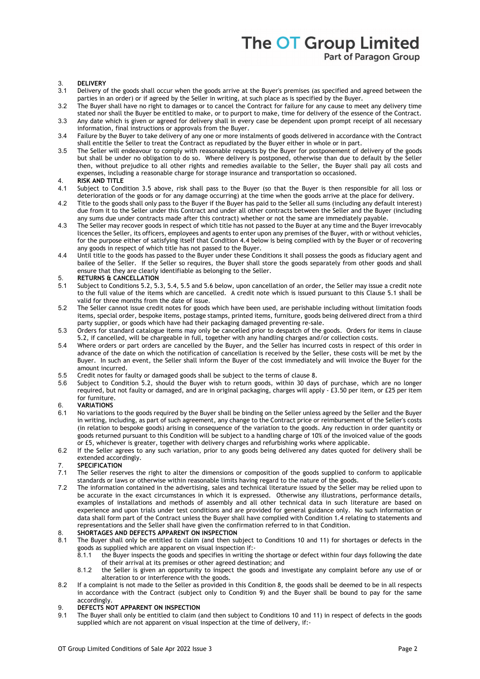## 3. **DELIVERY**

- Delivery of the goods shall occur when the goods arrive at the Buyer's premises (as specified and agreed between the parties in an order) or if agreed by the Seller in writing, at such place as is specified by the Buyer.
- 3.2 The Buyer shall have no right to damages or to cancel the Contract for failure for any cause to meet any delivery time stated nor shall the Buyer be entitled to make, or to purport to make, time for delivery of the essence of the Contract.
- 3.3 Any date which is given or agreed for delivery shall in every case be dependent upon prompt receipt of all necessary information, final instructions or approvals from the Buyer.
- 3.4 Failure by the Buyer to take delivery of any one or more instalments of goods delivered in accordance with the Contract shall entitle the Seller to treat the Contract as repudiated by the Buyer either in whole or in part.
- 3.5 The Seller will endeavour to comply with reasonable requests by the Buyer for postponement of delivery of the goods but shall be under no obligation to do so. Where delivery is postponed, otherwise than due to default by the Seller then, without prejudice to all other rights and remedies available to the Seller, the Buyer shall pay all costs and expenses, including a reasonable charge for storage insurance and transportation so occasioned.

## 4. **RISK AND TITLE**

- Subject to Condition 3.5 above, risk shall pass to the Buyer (so that the Buyer is then responsible for all loss or deterioration of the goods or for any damage occurring) at the time when the goods arrive at the place for delivery.
- 4.2 Title to the goods shall only pass to the Buyer if the Buyer has paid to the Seller all sums (including any default interest) due from it to the Seller under this Contract and under all other contracts between the Seller and the Buyer (including any sums due under contracts made after this contract) whether or not the same are immediately payable.
- 4.3 The Seller may recover goods in respect of which title has not passed to the Buyer at any time and the Buyer irrevocably licences the Seller, its officers, employees and agents to enter upon any premises of the Buyer, with or without vehicles, for the purpose either of satisfying itself that Condition 4.4 below is being complied with by the Buyer or of recovering any goods in respect of which title has not passed to the Buyer.
- 4.4 Until title to the goods has passed to the Buyer under these Conditions it shall possess the goods as fiduciary agent and bailee of the Seller. If the Seller so requires, the Buyer shall store the goods separately from other goods and shall ensure that they are clearly identifiable as belonging to the Seller.

## 5. **RETURNS & CANCELLATION**

- Subject to Conditions 5.2, 5.3, 5.4, 5.5 and 5.6 below, upon cancellation of an order, the Seller may issue a credit note to the full value of the items which are cancelled. A credit note which is issued pursuant to this Clause 5.1 shall be valid for three months from the date of issue.
- 5.2 The Seller cannot issue credit notes for goods which have been used, are perishable including without limitation foods items, special order, bespoke items, postage stamps, printed items, furniture, goods being delivered direct from a third party supplier, or goods which have had their packaging damaged preventing re-sale.
- 5.3 Orders for standard catalogue items may only be cancelled prior to despatch of the goods. Orders for items in clause 5.2, if cancelled, will be chargeable in full, together with any handling charges and/or collection costs.
- 5.4 Where orders or part orders are cancelled by the Buyer, and the Seller has incurred costs in respect of this order in advance of the date on which the notification of cancellation is received by the Seller, these costs will be met by the Buyer. In such an event, the Seller shall inform the Buyer of the cost immediately and will invoice the Buyer for the amount incurred.
- 5.5 Credit notes for faulty or damaged goods shall be subject to the terms of clause 8.<br>5.6 Subject to Condition 5.2, should the Buver wish to return goods, within 30 davi
- 5.6 Subject to Condition 5.2, should the Buyer wish to return goods, within 30 days of purchase, which are no longer required, but not faulty or damaged, and are in original packaging, charges will apply - £3.50 per item, or £25 per item for furniture.

## 6. **VARIATIONS**

- 6.1 No variations to the goods required by the Buyer shall be binding on the Seller unless agreed by the Seller and the Buyer in writing, including, as part of such agreement, any change to the Contract price or reimbursement of the Seller's costs (in relation to bespoke goods) arising in consequence of the variation to the goods. Any reduction in order quantity or goods returned pursuant to this Condition will be subject to a handling charge of 10% of the invoiced value of the goods or £5, whichever is greater, together with delivery charges and refurbishing works where applicable.
- 6.2 If the Seller agrees to any such variation, prior to any goods being delivered any dates quoted for delivery shall be extended accordingly.

# 7. **SPECIFICATION**

- The Seller reserves the right to alter the dimensions or composition of the goods supplied to conform to applicable standards or laws or otherwise within reasonable limits having regard to the nature of the goods.
- 7.2 The information contained in the advertising, sales and technical literature issued by the Seller may be relied upon to be accurate in the exact circumstances in which it is expressed. Otherwise any illustrations, performance details, examples of installations and methods of assembly and all other technical data in such literature are based on experience and upon trials under test conditions and are provided for general guidance only. No such information or data shall form part of the Contract unless the Buyer shall have complied with Condition 1.4 relating to statements and representations and the Seller shall have given the confirmation referred to in that Condition.

### 8. **SHORTAGES AND DEFECTS APPARENT ON INSPECTION**

- 8.1 The Buyer shall only be entitled to claim (and then subject to Conditions 10 and 11) for shortages or defects in the goods as supplied which are apparent on visual inspection if:-<br>8.1.1 the Buver inspects the section of the substitution of the Buver inspected the section of
	- the Buyer inspects the goods and specifies in writing the shortage or defect within four days following the date of their arrival at its premises or other agreed destination; and
	- 8.1.2 the Seller is given an opportunity to inspect the goods and investigate any complaint before any use of or alteration to or interference with the goods.
- 8.2 If a complaint is not made to the Seller as provided in this Condition 8, the goods shall be deemed to be in all respects in accordance with the Contract (subject only to Condition 9) and the Buyer shall be bound to pay for the same accordingly.

## 9. **DEFECTS NOT APPARENT ON INSPECTION**<br>9.1 The Buyer shall only be entitled to claim (i)

The Buyer shall only be entitled to claim (and then subject to Conditions 10 and 11) in respect of defects in the goods supplied which are not apparent on visual inspection at the time of delivery, if:-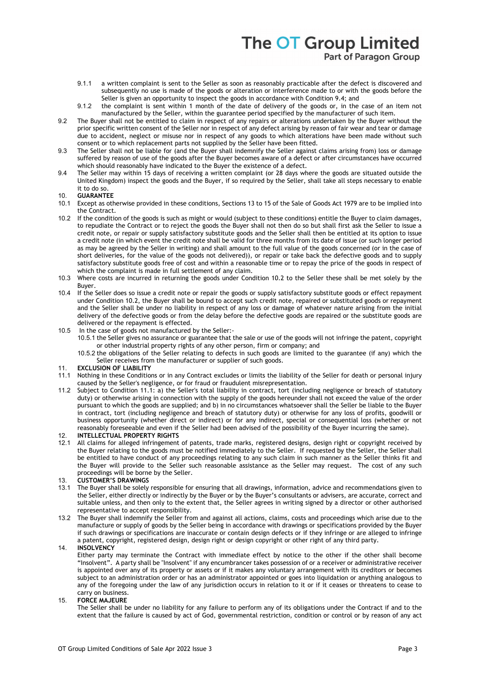- 9.1.1 a written complaint is sent to the Seller as soon as reasonably practicable after the defect is discovered and subsequently no use is made of the goods or alteration or interference made to or with the goods before the Seller is given an opportunity to inspect the goods in accordance with Condition 9.4; and
- 9.1.2 the complaint is sent within 1 month of the date of delivery of the goods or, in the case of an item not manufactured by the Seller, within the guarantee period specified by the manufacturer of such item.
- 9.2 The Buyer shall not be entitled to claim in respect of any repairs or alterations undertaken by the Buyer without the prior specific written consent of the Seller nor in respect of any defect arising by reason of fair wear and tear or damage due to accident, neglect or misuse nor in respect of any goods to which alterations have been made without such consent or to which replacement parts not supplied by the Seller have been fitted.
- 9.3 The Seller shall not be liable for (and the Buyer shall indemnify the Seller against claims arising from) loss or damage suffered by reason of use of the goods after the Buyer becomes aware of a defect or after circumstances have occurred which should reasonably have indicated to the Buyer the existence of a defect.
- 9.4 The Seller may within 15 days of receiving a written complaint (or 28 days where the goods are situated outside the United Kingdom) inspect the goods and the Buyer, if so required by the Seller, shall take all steps necessary to enable it to do so.

### 10. **GUARANTEE**

- 10.1 Except as otherwise provided in these conditions, Sections 13 to 15 of the Sale of Goods Act 1979 are to be implied into the Contract.
- 10.2 If the condition of the goods is such as might or would (subject to these conditions) entitle the Buyer to claim damages, to repudiate the Contract or to reject the goods the Buyer shall not then do so but shall first ask the Seller to issue a credit note, or repair or supply satisfactory substitute goods and the Seller shall then be entitled at its option to issue a credit note (in which event the credit note shall be valid for three months from its date of issue (or such longer period as may be agreed by the Seller in writing) and shall amount to the full value of the goods concerned (or in the case of short deliveries, for the value of the goods not delivered)), or repair or take back the defective goods and to supply satisfactory substitute goods free of cost and within a reasonable time or to repay the price of the goods in respect of which the complaint is made in full settlement of any claim.
- 10.3 Where costs are incurred in returning the goods under Condition 10.2 to the Seller these shall be met solely by the Buyer.
- 10.4 If the Seller does so issue a credit note or repair the goods or supply satisfactory substitute goods or effect repayment under Condition 10.2, the Buyer shall be bound to accept such credit note, repaired or substituted goods or repayment and the Seller shall be under no liability in respect of any loss or damage of whatever nature arising from the initial delivery of the defective goods or from the delay before the defective goods are repaired or the substitute goods are delivered or the repayment is effected.
- 10.5 In the case of goods not manufactured by the Seller:-
	- 10.5.1 the Seller gives no assurance or guarantee that the sale or use of the goods will not infringe the patent, copyright or other industrial property rights of any other person, firm or company; and
	- 10.5.2 the obligations of the Seller relating to defects in such goods are limited to the guarantee (if any) which the Seller receives from the manufacturer or supplier of such goods.
- 11. **EXCLUSION OF LIABILITY**
- 11.1 Nothing in these Conditions or in any Contract excludes or limits the liability of the Seller for death or personal injury caused by the Seller's negligence, or for fraud or fraudulent misrepresentation.
- 11.2 Subject to Condition 11.1: a) the Seller's total liability in contract, tort (including negligence or breach of statutory duty) or otherwise arising in connection with the supply of the goods hereunder shall not exceed the value of the order pursuant to which the goods are supplied; and b) in no circumstances whatsoever shall the Seller be liable to the Buyer in contract, tort (including negligence and breach of statutory duty) or otherwise for any loss of profits, goodwill or business opportunity (whether direct or indirect) or for any indirect, special or consequential loss (whether or not reasonably foreseeable and even if the Seller had been advised of the possibility of the Buyer incurring the same).

## 12. **INTELLECTUAL PROPERTY RIGHTS**

- 12.1 All claims for alleged infringement of patents, trade marks, registered designs, design right or copyright received by the Buyer relating to the goods must be notified immediately to the Seller. If requested by the Seller, the Seller shall be entitled to have conduct of any proceedings relating to any such claim in such manner as the Seller thinks fit and the Buyer will provide to the Seller such reasonable assistance as the Seller may request. The cost of any such proceedings will be borne by the Seller.
- 13. **CUSTOMER'S DRAWINGS**
- 13.1 The Buyer shall be solely responsible for ensuring that all drawings, information, advice and recommendations given to the Seller, either directly or indirectly by the Buyer or by the Buyer's consultants or advisers, are accurate, correct and suitable unless, and then only to the extent that, the Seller agrees in writing signed by a director or other authorised representative to accept responsibility.
- 13.2 The Buyer shall indemnify the Seller from and against all actions, claims, costs and proceedings which arise due to the manufacture or supply of goods by the Seller being in accordance with drawings or specifications provided by the Buyer if such drawings or specifications are inaccurate or contain design defects or if they infringe or are alleged to infringe a patent, copyright, registered design, design right or design copyright or other right of any third party.
- 14. **INSOLVENCY**

Either party may terminate the Contract with immediate effect by notice to the other if the other shall become "Insolvent". A party shall be "Insolvent" if any encumbrancer takes possession of or a receiver or administrative receiver is appointed over any of its property or assets or if it makes any voluntary arrangement with its creditors or becomes subject to an administration order or has an administrator appointed or goes into liquidation or anything analogous to any of the foregoing under the law of any jurisdiction occurs in relation to it or if it ceases or threatens to cease to carry on business.

### 15. **FORCE MAJEURE**

The Seller shall be under no liability for any failure to perform any of its obligations under the Contract if and to the extent that the failure is caused by act of God, governmental restriction, condition or control or by reason of any act